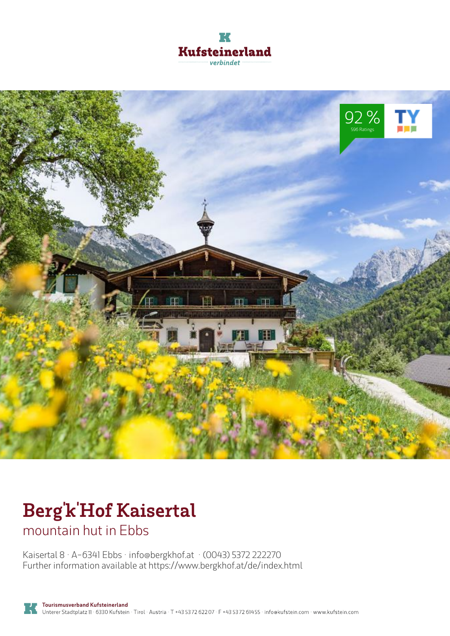



# **Berg'k'Hof Kaisertal**

mountain hut in Ebbs

Kaisertal 8 · A-6341 Ebbs · **info@bergkhof.at** · **(0043) 5372 222270** Further information available at **https://www.bergkhof.at/de/index.html**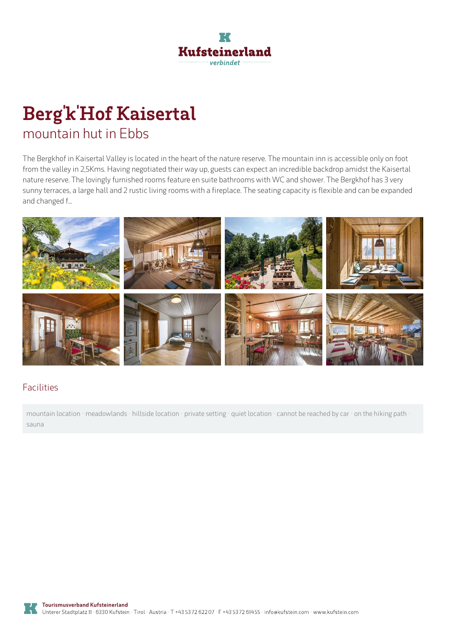

# **Berg'k'Hof Kaisertal** mountain hut in Ebbs

The Bergkhof in Kaisertal Valley is located in the heart of the nature reserve. The mountain inn is accessible only on foot from the valley in 2,5Kms. Having negotiated their way up, guests can expect an incredible backdrop amidst the Kaisertal nature reserve. The lovingly furnished rooms feature en suite bathrooms with WC and shower. The Bergkhof has 3 very sunny terraces, a large hall and 2 rustic living rooms with a fireplace. The seating capacity is flexible and can be expanded and changed f...



#### Facilities

mountain location · meadowlands · hillside location · private setting · quiet location · cannot be reached by car · on the hiking path sauna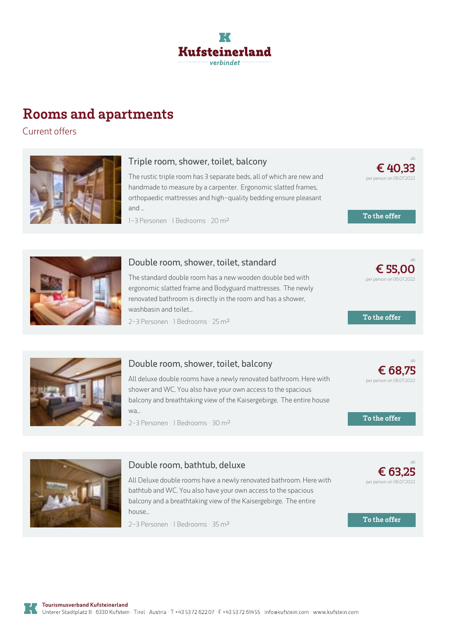

## **Rooms and apartments**

Current offers



#### **Triple room, shower, toilet, balcony**

The rustic triple room has 3 separate beds, all of which are new and handmade to measure by <sup>a</sup> carpenter. Ergonomic slatted frames, orthopaedic mattresses and high-quality bedding ensure pleasant and ...

1-3 Personen · 1 Bedrooms · 20 <sup>m</sup><sup>²</sup>



#### **Double room, shower, toilet, standard**

The standard double room has <sup>a</sup> new wooden double bed with ergonomic slatted frame and Bodyguard mattresses. The newly renovated bathroom is directly in the room and has <sup>a</sup> shower, washbasin and toilet...

2-3 Personen · 1 Bedrooms · 25 <sup>m</sup><sup>²</sup>



#### **Double room, shower, toilet, balcony**

All deluxe double rooms have <sup>a</sup> newly renovated bathroom. Here with shower and WC. You also have your own access to the spacious balcony and breathtaking view of the [Kaisergebirge.](https://www.kufstein.com/en/book/ebbs/mountain-hut-mountain-inn/bergkhof-kaisertal.html?utm_medium=PDF&utm_campaign=Vermieter-Prospekt&utm_source=Berg%27k%27Hof+Kaisertal) The entire house wa...

2-3 Personen · 1 Bedrooms · 30 <sup>m</sup><sup>²</sup>



#### **Double room, bathtub, deluxe**

All Deluxe double rooms have <sup>a</sup> newly renovated bathroom. Here with bathtub and WC. You also have your own access to the spacious balcony and <sup>a</sup> breathtaking view of the [Kaisergebirge.](https://www.kufstein.com/en/book/ebbs/mountain-hut-mountain-inn/bergkhof-kaisertal.html?utm_medium=PDF&utm_campaign=Vermieter-Prospekt&utm_source=Berg%27k%27Hof+Kaisertal) The entire house...

2-3 Personen · 1 Bedrooms · 35 <sup>m</sup><sup>²</sup>





ab

**€ [40,33](https://www.kufstein.com/en/book/ebbs/mountain-hut-mountain-inn/bergkhof-kaisertal.html?utm_medium=PDF&utm_campaign=Vermieter-Prospekt&utm_source=Berg%27k%27Hof+Kaisertal)** per person on 06.07.2022

**To the offer**

**To the offer**



ab

**€ 63,25** per person on 06.07.2022

**To the offer**